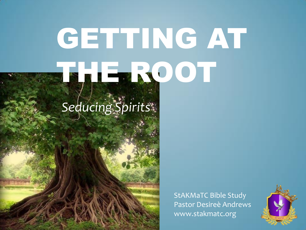# GETTING AT THE ROOT

## *Seducing Spirits*

StAKMaTC Bible Study Pastor Desireè Andrews www.stakmatc.org

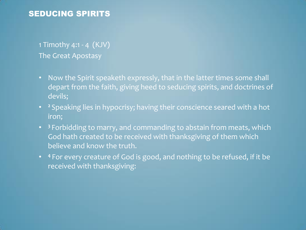### 1 Timothy 4:1 - 4 (KJV) The Great Apostasy

- Now the Spirit speaketh expressly, that in the latter times some shall depart from the faith, giving heed to seducing spirits, and doctrines of devils;
- **<sup>2</sup>** Speaking lies in hypocrisy; having their conscience seared with a hot iron;
- **<sup>3</sup>** Forbidding to marry, and commanding to abstain from meats, which God hath created to be received with thanksgiving of them which believe and know the truth.
- **<sup>4</sup>** For every creature of God is good, and nothing to be refused, if it be received with thanksgiving: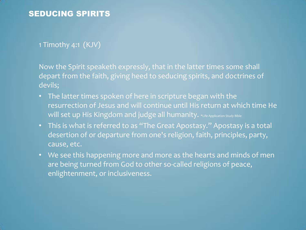#### 1 Timothy 4:1 (KJV)

Now the Spirit speaketh expressly, that in the latter times some shall depart from the faith, giving heed to seducing spirits, and doctrines of devils;

- The latter times spoken of here in scripture began with the resurrection of Jesus and will continue until His return at which time He Will set up His Kingdom and judge all humanity. \*Life Application Study Bible
- This is what is referred to as "The Great Apostasy." Apostasy is a total desertion of or departure from one's religion, faith, principles, party, cause, etc.
- We see this happening more and more as the hearts and minds of men are being turned from God to other so-called religions of peace, enlightenment, or inclusiveness.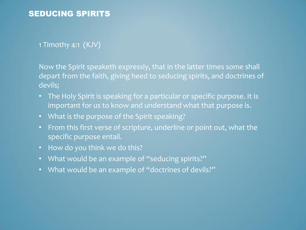#### 1 Timothy 4:1 (KJV)

Now the Spirit speaketh expressly, that in the latter times some shall depart from the faith, giving heed to seducing spirits, and doctrines of devils;

- The Holy Spirit is speaking for a particular or specific purpose. It is important for us to know and understand what that purpose is.
- What is the purpose of the Spirit speaking?
- From this first verse of scripture, underline or point out, what the specific purpose entail.
- How do you think we do this?
- What would be an example of "seducing spirits?"
- What would be an example of "doctrines of devils?"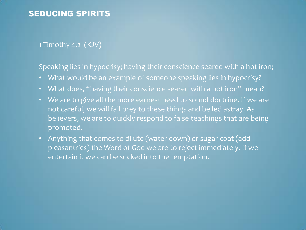#### 1 Timothy 4:2 (KJV)

Speaking lies in hypocrisy; having their conscience seared with a hot iron;

- What would be an example of someone speaking lies in hypocrisy?
- What does, "having their conscience seared with a hot iron" mean?
- We are to give all the more earnest heed to sound doctrine. If we are not careful, we will fall prey to these things and be led astray. As believers, we are to quickly respond to false teachings that are being promoted.
- Anything that comes to dilute (water down) or sugar coat (add pleasantries) the Word of God we are to reject immediately. If we entertain it we can be sucked into the temptation.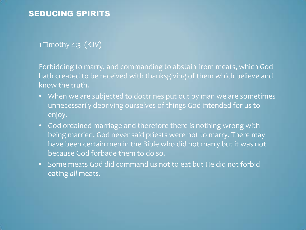1 Timothy 4:3 (KJV)

Forbidding to marry, and commanding to abstain from meats, which God hath created to be received with thanksgiving of them which believe and know the truth.

- When we are subjected to doctrines put out by man we are sometimes unnecessarily depriving ourselves of things God intended for us to enjoy.
- God ordained marriage and therefore there is nothing wrong with being married. God never said priests were not to marry. There may have been certain men in the Bible who did not marry but it was not because God forbade them to do so.
- Some meats God did command us not to eat but He did not forbid eating *all* meats.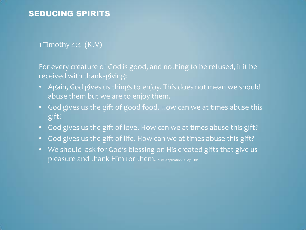#### 1 Timothy 4:4 (KJV)

For every creature of God is good, and nothing to be refused, if it be received with thanksgiving:

- Again, God gives us things to enjoy. This does not mean we should abuse them but we are to enjoy them.
- God gives us the gift of good food. How can we at times abuse this gift?
- God gives us the gift of love. How can we at times abuse this gift?
- God gives us the gift of life. How can we at times abuse this gift?
- We should ask for God's blessing on His created gifts that give us pleasure and thank Him for them. \*Life Application Study Bible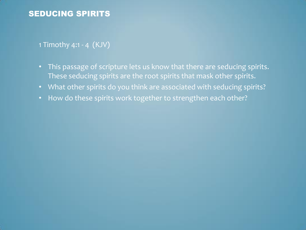#### 1 Timothy 4:1 - 4 (KJV)

- This passage of scripture lets us know that there are seducing spirits. These seducing spirits are the root spirits that mask other spirits.
- What other spirits do you think are associated with seducing spirits?
- How do these spirits work together to strengthen each other?